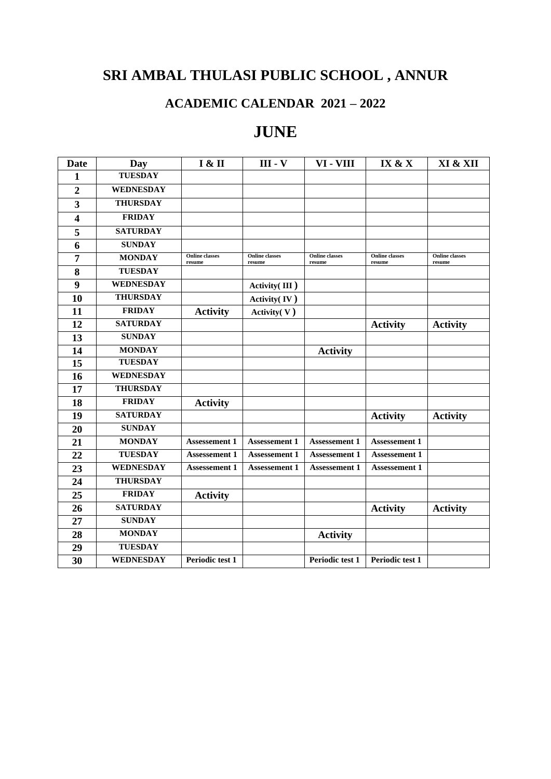# **SRI AMBAL THULASI PUBLIC SCHOOL , ANNUR**

### **ACADEMIC CALENDAR 2021 – 2022**

### **JUNE**

| <b>Date</b>     | Day              | <b>I &amp; II</b>               | <b>III</b> - <b>V</b>           | VI - VIII                       | IX & X                          | XI & XII                        |
|-----------------|------------------|---------------------------------|---------------------------------|---------------------------------|---------------------------------|---------------------------------|
| 1               | <b>TUESDAY</b>   |                                 |                                 |                                 |                                 |                                 |
| $\overline{2}$  | <b>WEDNESDAY</b> |                                 |                                 |                                 |                                 |                                 |
| 3               | <b>THURSDAY</b>  |                                 |                                 |                                 |                                 |                                 |
| 4               | <b>FRIDAY</b>    |                                 |                                 |                                 |                                 |                                 |
| 5               | <b>SATURDAY</b>  |                                 |                                 |                                 |                                 |                                 |
| 6               | <b>SUNDAY</b>    |                                 |                                 |                                 |                                 |                                 |
| 7               | <b>MONDAY</b>    | <b>Online</b> classes<br>resume | <b>Online</b> classes<br>resume | <b>Online</b> classes<br>resume | <b>Online</b> classes<br>resume | <b>Online</b> classes<br>resume |
| 8               | <b>TUESDAY</b>   |                                 |                                 |                                 |                                 |                                 |
| 9               | <b>WEDNESDAY</b> |                                 | Activity(III)                   |                                 |                                 |                                 |
| 10              | <b>THURSDAY</b>  |                                 | Activity(IV)                    |                                 |                                 |                                 |
| 11              | <b>FRIDAY</b>    | <b>Activity</b>                 | Activity(V)                     |                                 |                                 |                                 |
| 12              | <b>SATURDAY</b>  |                                 |                                 |                                 | <b>Activity</b>                 | <b>Activity</b>                 |
| 13              | <b>SUNDAY</b>    |                                 |                                 |                                 |                                 |                                 |
| 14              | <b>MONDAY</b>    |                                 |                                 | <b>Activity</b>                 |                                 |                                 |
| 15              | <b>TUESDAY</b>   |                                 |                                 |                                 |                                 |                                 |
| 16              | WEDNESDAY        |                                 |                                 |                                 |                                 |                                 |
| 17              | <b>THURSDAY</b>  |                                 |                                 |                                 |                                 |                                 |
| 18              | <b>FRIDAY</b>    | <b>Activity</b>                 |                                 |                                 |                                 |                                 |
| 19              | <b>SATURDAY</b>  |                                 |                                 |                                 | <b>Activity</b>                 | <b>Activity</b>                 |
| 20              | <b>SUNDAY</b>    |                                 |                                 |                                 |                                 |                                 |
| 21              | <b>MONDAY</b>    | <b>Assessement 1</b>            | <b>Assessement 1</b>            | <b>Assessement 1</b>            | <b>Assessement 1</b>            |                                 |
| 22              | <b>TUESDAY</b>   | <b>Assessement 1</b>            | <b>Assessement 1</b>            | <b>Assessement 1</b>            | <b>Assessement 1</b>            |                                 |
| 23              | <b>WEDNESDAY</b> | <b>Assessement 1</b>            | <b>Assessement 1</b>            | <b>Assessement 1</b>            | <b>Assessement 1</b>            |                                 |
| 24              | <b>THURSDAY</b>  |                                 |                                 |                                 |                                 |                                 |
| $\overline{25}$ | <b>FRIDAY</b>    | <b>Activity</b>                 |                                 |                                 |                                 |                                 |
| 26              | <b>SATURDAY</b>  |                                 |                                 |                                 | <b>Activity</b>                 | <b>Activity</b>                 |
| 27              | <b>SUNDAY</b>    |                                 |                                 |                                 |                                 |                                 |
| 28              | <b>MONDAY</b>    |                                 |                                 | <b>Activity</b>                 |                                 |                                 |
| 29              | <b>TUESDAY</b>   |                                 |                                 |                                 |                                 |                                 |
| 30              | <b>WEDNESDAY</b> | Periodic test 1                 |                                 | Periodic test 1                 | Periodic test 1                 |                                 |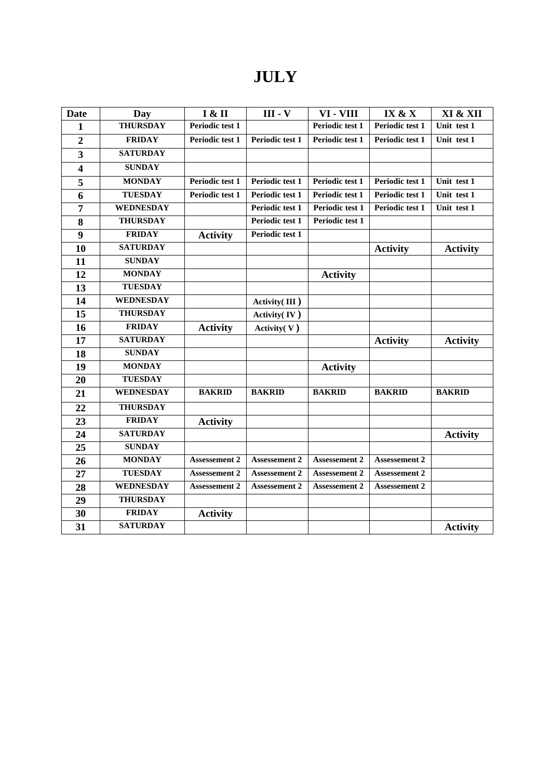## **JULY**

| <b>Date</b>             | Day              | I & II               | $III - V$            | VI - VIII            | IX & X               | XI & XII        |
|-------------------------|------------------|----------------------|----------------------|----------------------|----------------------|-----------------|
| 1                       | <b>THURSDAY</b>  | Periodic test 1      |                      | Periodic test 1      | Periodic test 1      | Unit test 1     |
| $\overline{2}$          | <b>FRIDAY</b>    | Periodic test 1      | Periodic test 1      | Periodic test 1      | Periodic test 1      | Unit test 1     |
| $\overline{\mathbf{3}}$ | <b>SATURDAY</b>  |                      |                      |                      |                      |                 |
| $\overline{\mathbf{4}}$ | <b>SUNDAY</b>    |                      |                      |                      |                      |                 |
| 5                       | <b>MONDAY</b>    | Periodic test 1      | Periodic test 1      | Periodic test 1      | Periodic test 1      | Unit test 1     |
| 6                       | <b>TUESDAY</b>   | Periodic test 1      | Periodic test 1      | Periodic test 1      | Periodic test 1      | Unit test 1     |
| 7                       | <b>WEDNESDAY</b> |                      | Periodic test 1      | Periodic test 1      | Periodic test 1      | Unit test 1     |
| 8                       | <b>THURSDAY</b>  |                      | Periodic test 1      | Periodic test 1      |                      |                 |
| 9                       | <b>FRIDAY</b>    | <b>Activity</b>      | Periodic test 1      |                      |                      |                 |
| 10                      | <b>SATURDAY</b>  |                      |                      |                      | <b>Activity</b>      | <b>Activity</b> |
| 11                      | <b>SUNDAY</b>    |                      |                      |                      |                      |                 |
| 12                      | <b>MONDAY</b>    |                      |                      | <b>Activity</b>      |                      |                 |
| 13                      | <b>TUESDAY</b>   |                      |                      |                      |                      |                 |
| 14                      | <b>WEDNESDAY</b> |                      | Activity(III)        |                      |                      |                 |
| 15                      | <b>THURSDAY</b>  |                      | Activity(IV)         |                      |                      |                 |
| 16                      | <b>FRIDAY</b>    | <b>Activity</b>      | Activity $(V)$       |                      |                      |                 |
| 17                      | <b>SATURDAY</b>  |                      |                      |                      | <b>Activity</b>      | <b>Activity</b> |
| 18                      | <b>SUNDAY</b>    |                      |                      |                      |                      |                 |
| 19                      | <b>MONDAY</b>    |                      |                      | <b>Activity</b>      |                      |                 |
| 20                      | <b>TUESDAY</b>   |                      |                      |                      |                      |                 |
| 21                      | <b>WEDNESDAY</b> | <b>BAKRID</b>        | <b>BAKRID</b>        | <b>BAKRID</b>        | <b>BAKRID</b>        | <b>BAKRID</b>   |
| 22                      | <b>THURSDAY</b>  |                      |                      |                      |                      |                 |
| 23                      | <b>FRIDAY</b>    | <b>Activity</b>      |                      |                      |                      |                 |
| 24                      | <b>SATURDAY</b>  |                      |                      |                      |                      | <b>Activity</b> |
| $\overline{25}$         | <b>SUNDAY</b>    |                      |                      |                      |                      |                 |
| 26                      | <b>MONDAY</b>    | <b>Assessement 2</b> | <b>Assessement 2</b> | <b>Assessement 2</b> | <b>Assessement 2</b> |                 |
| 27                      | <b>TUESDAY</b>   | <b>Assessement 2</b> | <b>Assessement 2</b> | <b>Assessement 2</b> | <b>Assessement 2</b> |                 |
| 28                      | <b>WEDNESDAY</b> | <b>Assessement 2</b> | <b>Assessement 2</b> | <b>Assessement 2</b> | <b>Assessement 2</b> |                 |
| 29                      | <b>THURSDAY</b>  |                      |                      |                      |                      |                 |
| 30                      | <b>FRIDAY</b>    | <b>Activity</b>      |                      |                      |                      |                 |
| 31                      | <b>SATURDAY</b>  |                      |                      |                      |                      | <b>Activity</b> |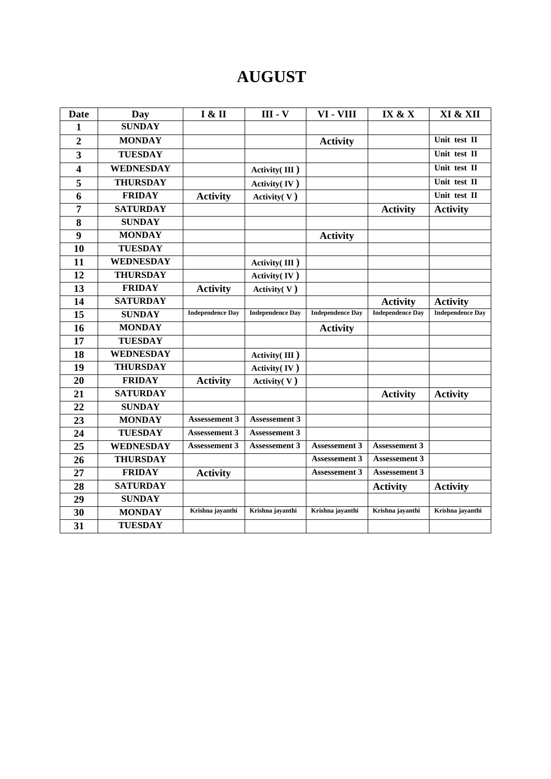# **AUGUST**

| Date                    | Day              | I & II                  | <b>III</b> - <b>V</b>   | VI - VIII               | IX & X                  | XI & XII                |
|-------------------------|------------------|-------------------------|-------------------------|-------------------------|-------------------------|-------------------------|
| 1                       | <b>SUNDAY</b>    |                         |                         |                         |                         |                         |
| $\overline{2}$          | <b>MONDAY</b>    |                         |                         | <b>Activity</b>         |                         | Unit test II            |
| $\overline{\mathbf{3}}$ | <b>TUESDAY</b>   |                         |                         |                         |                         | Unit test II            |
| 4                       | <b>WEDNESDAY</b> |                         | Activity(III)           |                         |                         | Unit test II            |
| 5                       | <b>THURSDAY</b>  |                         | Activity(IV)            |                         |                         | Unit test II            |
| 6                       | <b>FRIDAY</b>    | <b>Activity</b>         | Activity $(V)$          |                         |                         | Unit test II            |
| 7                       | <b>SATURDAY</b>  |                         |                         |                         | <b>Activity</b>         | <b>Activity</b>         |
| 8                       | <b>SUNDAY</b>    |                         |                         |                         |                         |                         |
| 9                       | <b>MONDAY</b>    |                         |                         | <b>Activity</b>         |                         |                         |
| 10                      | <b>TUESDAY</b>   |                         |                         |                         |                         |                         |
| 11                      | <b>WEDNESDAY</b> |                         | Activity $(III)$        |                         |                         |                         |
| 12                      | <b>THURSDAY</b>  |                         | Activity(IV)            |                         |                         |                         |
| 13                      | <b>FRIDAY</b>    | <b>Activity</b>         | Activity(V)             |                         |                         |                         |
| 14                      | <b>SATURDAY</b>  |                         |                         |                         | <b>Activity</b>         | <b>Activity</b>         |
| 15                      | <b>SUNDAY</b>    | <b>Independence Day</b> | <b>Independence Day</b> | <b>Independence Day</b> | <b>Independence Day</b> | <b>Independence Day</b> |
| 16                      | <b>MONDAY</b>    |                         |                         | <b>Activity</b>         |                         |                         |
| 17                      | <b>TUESDAY</b>   |                         |                         |                         |                         |                         |
| 18                      | <b>WEDNESDAY</b> |                         | Activity(III)           |                         |                         |                         |
| 19                      | <b>THURSDAY</b>  |                         | Activity(IV)            |                         |                         |                         |
| 20                      | <b>FRIDAY</b>    | <b>Activity</b>         | Activity(V)             |                         |                         |                         |
| 21                      | <b>SATURDAY</b>  |                         |                         |                         | <b>Activity</b>         | <b>Activity</b>         |
| 22                      | <b>SUNDAY</b>    |                         |                         |                         |                         |                         |
| 23                      | <b>MONDAY</b>    | Assessement 3           | <b>Assessement 3</b>    |                         |                         |                         |
| 24                      | <b>TUESDAY</b>   | <b>Assessement 3</b>    | Assessement 3           |                         |                         |                         |
| 25                      | <b>WEDNESDAY</b> | <b>Assessement 3</b>    | <b>Assessement 3</b>    | <b>Assessement 3</b>    | <b>Assessement 3</b>    |                         |
| 26                      | <b>THURSDAY</b>  |                         |                         | <b>Assessement 3</b>    | <b>Assessement 3</b>    |                         |
| 27                      | <b>FRIDAY</b>    | <b>Activity</b>         |                         | <b>Assessement 3</b>    | <b>Assessement 3</b>    |                         |
| 28                      | <b>SATURDAY</b>  |                         |                         |                         | <b>Activity</b>         | <b>Activity</b>         |
| 29                      | <b>SUNDAY</b>    |                         |                         |                         |                         |                         |
| 30                      | <b>MONDAY</b>    | Krishna jayanthi        | Krishna jayanthi        | Krishna jayanthi        | Krishna jayanthi        | Krishna jayanthi        |
| 31                      | <b>TUESDAY</b>   |                         |                         |                         |                         |                         |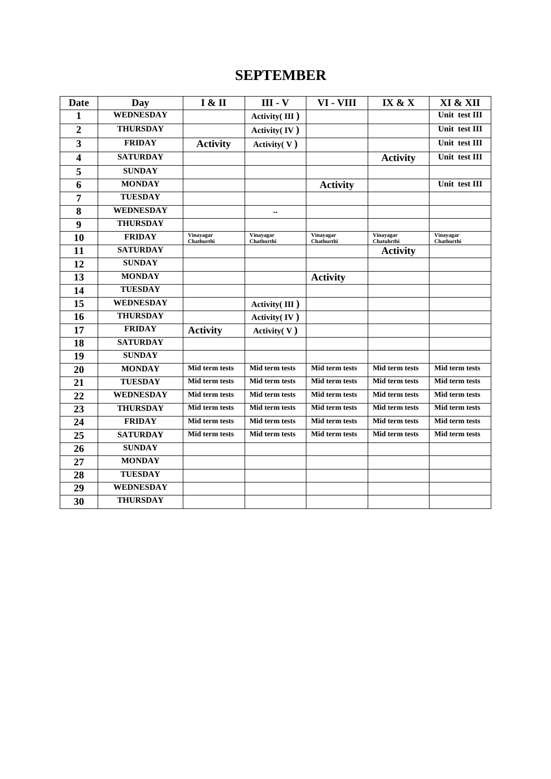#### **SEPTEMBER**

| <b>Date</b>    | Day              | I & II                  | <b>III</b> - <b>V</b>   | VI - VIII               | IX & X                  | XI & XII                |
|----------------|------------------|-------------------------|-------------------------|-------------------------|-------------------------|-------------------------|
| 1              | <b>WEDNESDAY</b> |                         | Activity(III)           |                         |                         | Unit test III           |
| $\overline{2}$ | <b>THURSDAY</b>  |                         | Activity $(IV)$         |                         |                         | Unit test III           |
| 3              | <b>FRIDAY</b>    | <b>Activity</b>         | Activity $(V)$          |                         |                         | Unit test III           |
| 4              | <b>SATURDAY</b>  |                         |                         |                         | <b>Activity</b>         | Unit test III           |
| 5              | <b>SUNDAY</b>    |                         |                         |                         |                         |                         |
| 6              | <b>MONDAY</b>    |                         |                         | <b>Activity</b>         |                         | Unit test III           |
| 7              | <b>TUESDAY</b>   |                         |                         |                         |                         |                         |
| 8              | <b>WEDNESDAY</b> |                         | $\ddotsc$               |                         |                         |                         |
| 9              | <b>THURSDAY</b>  |                         |                         |                         |                         |                         |
| 10             | <b>FRIDAY</b>    | Vinavagar<br>Chathurthi | Vinavagar<br>Chathurthi | Vinavagar<br>Chathurthi | Vinavagar<br>Chatuhrthi | Vinavagar<br>Chathurthi |
| 11             | <b>SATURDAY</b>  |                         |                         |                         | <b>Activity</b>         |                         |
| 12             | <b>SUNDAY</b>    |                         |                         |                         |                         |                         |
| 13             | <b>MONDAY</b>    |                         |                         | <b>Activity</b>         |                         |                         |
| 14             | <b>TUESDAY</b>   |                         |                         |                         |                         |                         |
| 15             | <b>WEDNESDAY</b> |                         | Activity(III)           |                         |                         |                         |
| 16             | <b>THURSDAY</b>  |                         | Activity $(IV)$         |                         |                         |                         |
| 17             | <b>FRIDAY</b>    | <b>Activity</b>         | Activity(V)             |                         |                         |                         |
| 18             | <b>SATURDAY</b>  |                         |                         |                         |                         |                         |
| 19             | <b>SUNDAY</b>    |                         |                         |                         |                         |                         |
| 20             | <b>MONDAY</b>    | Mid term tests          | Mid term tests          | Mid term tests          | Mid term tests          | Mid term tests          |
| 21             | <b>TUESDAY</b>   | Mid term tests          | Mid term tests          | Mid term tests          | Mid term tests          | Mid term tests          |
| 22             | <b>WEDNESDAY</b> | Mid term tests          | Mid term tests          | <b>Mid term tests</b>   | Mid term tests          | Mid term tests          |
| 23             | <b>THURSDAY</b>  | Mid term tests          | Mid term tests          | Mid term tests          | Mid term tests          | Mid term tests          |
| 24             | <b>FRIDAY</b>    | Mid term tests          | Mid term tests          | <b>Mid term tests</b>   | <b>Mid term tests</b>   | Mid term tests          |
| 25             | <b>SATURDAY</b>  | Mid term tests          | Mid term tests          | Mid term tests          | Mid term tests          | Mid term tests          |
| 26             | <b>SUNDAY</b>    |                         |                         |                         |                         |                         |
| 27             | <b>MONDAY</b>    |                         |                         |                         |                         |                         |
| 28             | <b>TUESDAY</b>   |                         |                         |                         |                         |                         |
| 29             | <b>WEDNESDAY</b> |                         |                         |                         |                         |                         |
| 30             | <b>THURSDAY</b>  |                         |                         |                         |                         |                         |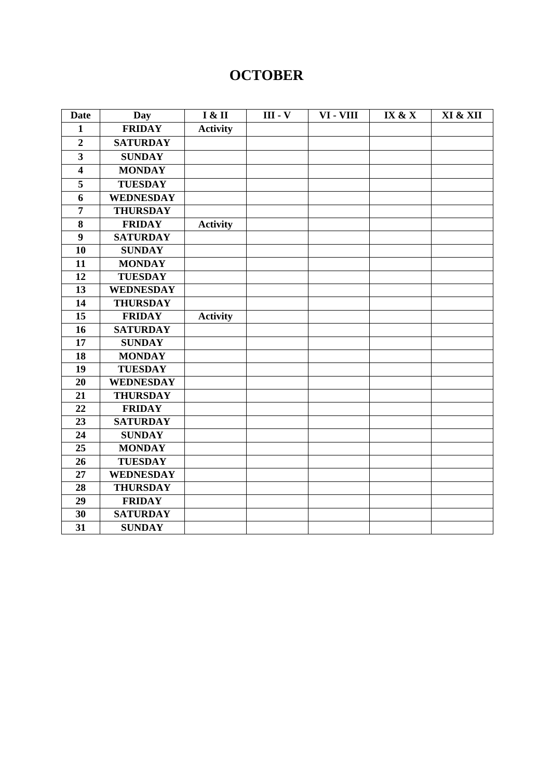### **OCTOBER**

| <b>Date</b>             | <b>Day</b>       | I & II          | <b>III</b> - <b>V</b> | VI - VIII | IX & X | XI & XII |
|-------------------------|------------------|-----------------|-----------------------|-----------|--------|----------|
| $\mathbf{1}$            | <b>FRIDAY</b>    | <b>Activity</b> |                       |           |        |          |
| $\overline{2}$          | <b>SATURDAY</b>  |                 |                       |           |        |          |
| $\overline{\mathbf{3}}$ | <b>SUNDAY</b>    |                 |                       |           |        |          |
| $\overline{\mathbf{4}}$ | <b>MONDAY</b>    |                 |                       |           |        |          |
| 5                       | <b>TUESDAY</b>   |                 |                       |           |        |          |
| 6                       | <b>WEDNESDAY</b> |                 |                       |           |        |          |
| $\overline{7}$          | <b>THURSDAY</b>  |                 |                       |           |        |          |
| 8                       | <b>FRIDAY</b>    | <b>Activity</b> |                       |           |        |          |
| 9                       | <b>SATURDAY</b>  |                 |                       |           |        |          |
| 10                      | <b>SUNDAY</b>    |                 |                       |           |        |          |
| 11                      | <b>MONDAY</b>    |                 |                       |           |        |          |
| 12                      | <b>TUESDAY</b>   |                 |                       |           |        |          |
| 13                      | <b>WEDNESDAY</b> |                 |                       |           |        |          |
| 14                      | <b>THURSDAY</b>  |                 |                       |           |        |          |
| 15                      | <b>FRIDAY</b>    | <b>Activity</b> |                       |           |        |          |
| 16                      | <b>SATURDAY</b>  |                 |                       |           |        |          |
| 17                      | <b>SUNDAY</b>    |                 |                       |           |        |          |
| 18                      | <b>MONDAY</b>    |                 |                       |           |        |          |
| 19                      | <b>TUESDAY</b>   |                 |                       |           |        |          |
| 20                      | <b>WEDNESDAY</b> |                 |                       |           |        |          |
| 21                      | <b>THURSDAY</b>  |                 |                       |           |        |          |
| 22                      | <b>FRIDAY</b>    |                 |                       |           |        |          |
| 23                      | <b>SATURDAY</b>  |                 |                       |           |        |          |
| 24                      | <b>SUNDAY</b>    |                 |                       |           |        |          |
| 25                      | <b>MONDAY</b>    |                 |                       |           |        |          |
| 26                      | <b>TUESDAY</b>   |                 |                       |           |        |          |
| 27                      | <b>WEDNESDAY</b> |                 |                       |           |        |          |
| 28                      | <b>THURSDAY</b>  |                 |                       |           |        |          |
| 29                      | <b>FRIDAY</b>    |                 |                       |           |        |          |
| 30                      | <b>SATURDAY</b>  |                 |                       |           |        |          |
| 31                      | <b>SUNDAY</b>    |                 |                       |           |        |          |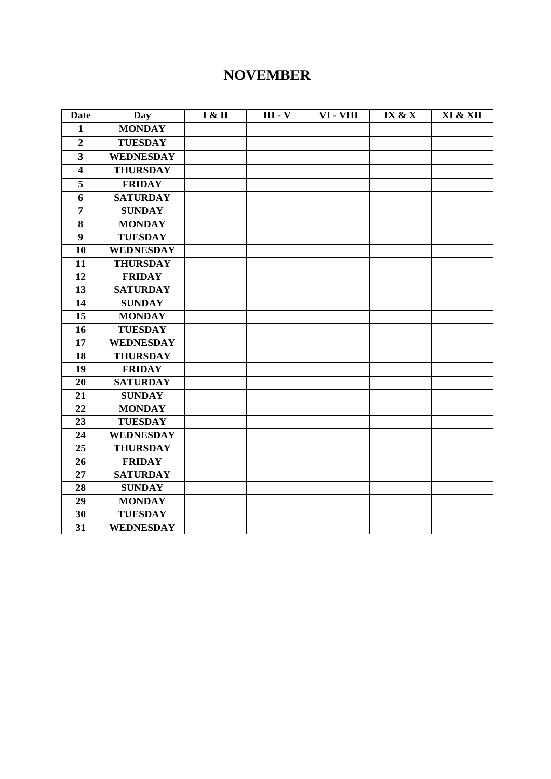#### **NOVEMBER**

| <b>Date</b>             | Day              | I & II | $III - V$ | VI - VIII | IX & X | XI & XII |
|-------------------------|------------------|--------|-----------|-----------|--------|----------|
| $\mathbf{1}$            | <b>MONDAY</b>    |        |           |           |        |          |
| $\boldsymbol{2}$        | <b>TUESDAY</b>   |        |           |           |        |          |
| $\overline{\mathbf{3}}$ | <b>WEDNESDAY</b> |        |           |           |        |          |
| $\overline{\mathbf{4}}$ | <b>THURSDAY</b>  |        |           |           |        |          |
| 5                       | <b>FRIDAY</b>    |        |           |           |        |          |
| 6                       | <b>SATURDAY</b>  |        |           |           |        |          |
| $\overline{7}$          | <b>SUNDAY</b>    |        |           |           |        |          |
| 8                       | <b>MONDAY</b>    |        |           |           |        |          |
| $\boldsymbol{9}$        | <b>TUESDAY</b>   |        |           |           |        |          |
| 10                      | <b>WEDNESDAY</b> |        |           |           |        |          |
| 11                      | <b>THURSDAY</b>  |        |           |           |        |          |
| 12                      | <b>FRIDAY</b>    |        |           |           |        |          |
| 13                      | <b>SATURDAY</b>  |        |           |           |        |          |
| 14                      | <b>SUNDAY</b>    |        |           |           |        |          |
| 15                      | <b>MONDAY</b>    |        |           |           |        |          |
| 16                      | <b>TUESDAY</b>   |        |           |           |        |          |
| 17                      | <b>WEDNESDAY</b> |        |           |           |        |          |
| 18                      | <b>THURSDAY</b>  |        |           |           |        |          |
| 19                      | <b>FRIDAY</b>    |        |           |           |        |          |
| 20                      | <b>SATURDAY</b>  |        |           |           |        |          |
| 21                      | <b>SUNDAY</b>    |        |           |           |        |          |
| 22                      | <b>MONDAY</b>    |        |           |           |        |          |
| 23                      | <b>TUESDAY</b>   |        |           |           |        |          |
| 24                      | <b>WEDNESDAY</b> |        |           |           |        |          |
| 25                      | <b>THURSDAY</b>  |        |           |           |        |          |
| 26                      | <b>FRIDAY</b>    |        |           |           |        |          |
| 27                      | <b>SATURDAY</b>  |        |           |           |        |          |
| 28                      | <b>SUNDAY</b>    |        |           |           |        |          |
| 29                      | <b>MONDAY</b>    |        |           |           |        |          |
| 30                      | <b>TUESDAY</b>   |        |           |           |        |          |
| 31                      | <b>WEDNESDAY</b> |        |           |           |        |          |